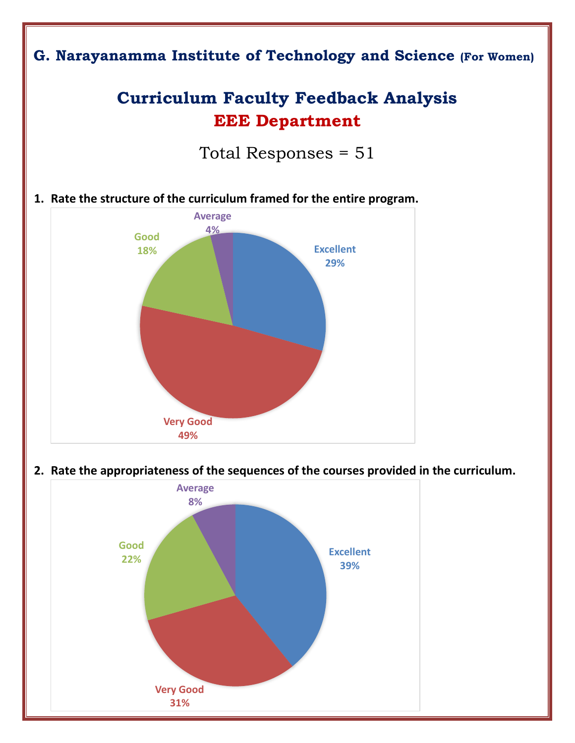

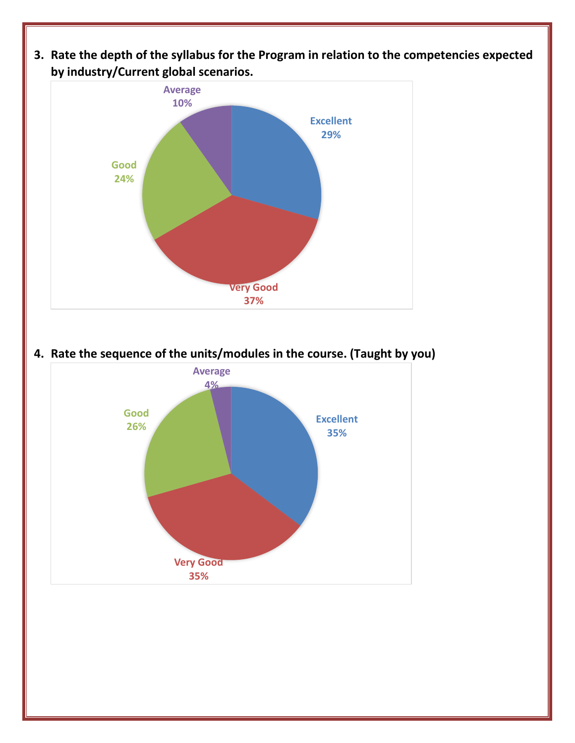**3. Rate the depth of the syllabus for the Program in relation to the competencies expected by industry/Current global scenarios.** 



**4. Rate the sequence of the units/modules in the course. (Taught by you)**

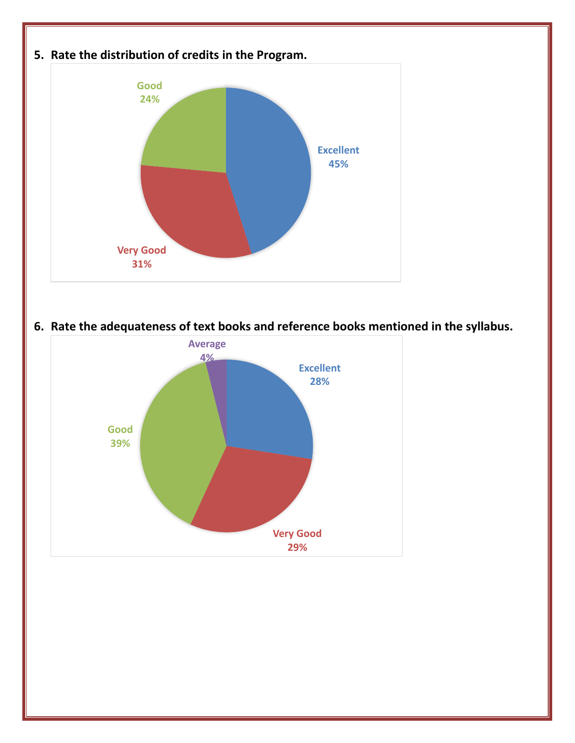

**6. Rate the adequateness of text books and reference books mentioned in the syllabus.**

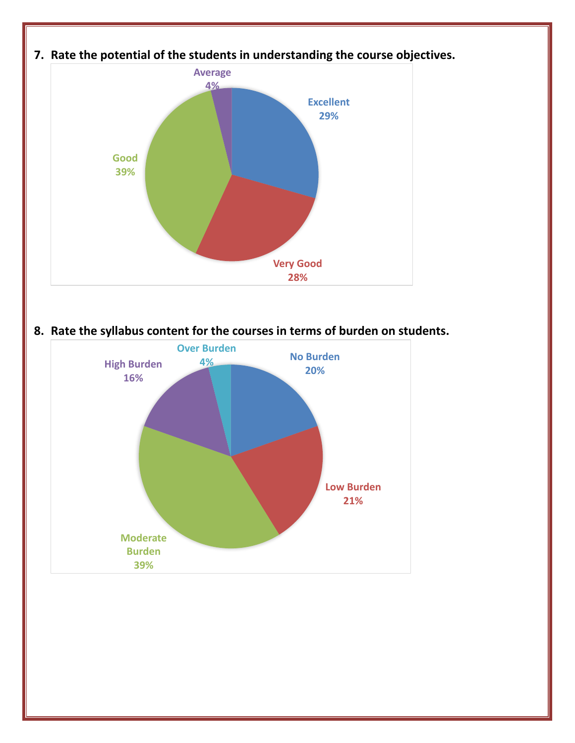

**8. Rate the syllabus content for the courses in terms of burden on students.**

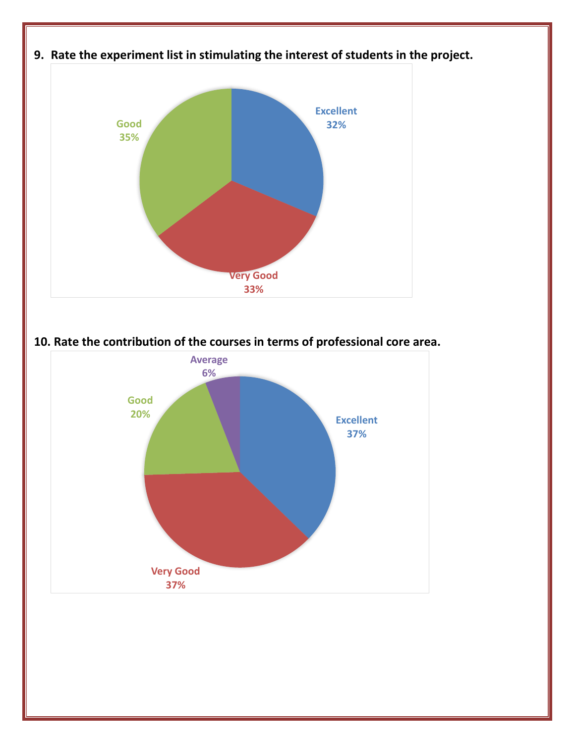

**10. Rate the contribution of the courses in terms of professional core area.**